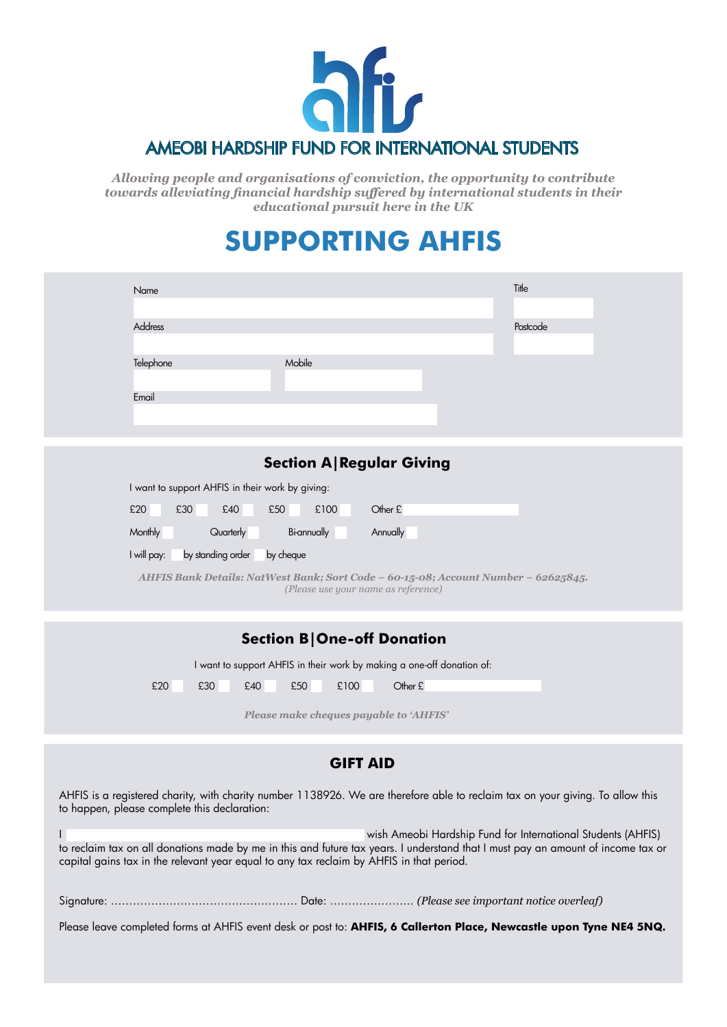

*Allowing people and organisations of conviction, the opportunity to contribute towards alleviating financial hardship suffered by international students in their educational pursuit here in the UK*

## **SUPPORTING AHFIS**

| Title<br>Name                                                                                                             |  |
|---------------------------------------------------------------------------------------------------------------------------|--|
|                                                                                                                           |  |
| Address<br>Postcode                                                                                                       |  |
| Mobile<br>Telephone                                                                                                       |  |
| Email                                                                                                                     |  |
|                                                                                                                           |  |
|                                                                                                                           |  |
| <b>Section A Regular Giving</b>                                                                                           |  |
| I want to support AHFIS in their work by giving:                                                                          |  |
| £20<br>£30<br>£50<br>£100<br>Other £<br>£40                                                                               |  |
| Monthly<br>Quarterly<br>Bi-annually<br>Annually                                                                           |  |
| by standing order<br>I will pay:<br>by cheque                                                                             |  |
| AHFIS Bank Details: NatWest Bank; Sort Code - 60-15-08; Account Number - 62625845.<br>(Please use your name as reference) |  |
| <b>Section B One-off Donation</b>                                                                                         |  |
| I want to support AHFIS in their work by making a one-off donation of:                                                    |  |
| Other £<br>£20<br>£30<br>£40<br>£50<br>£100                                                                               |  |
| Please make cheques payable to 'AHFIS'                                                                                    |  |
| <b>GIFT AID</b>                                                                                                           |  |

AHFIS is a registered charity, with charity number 1138926. We are therefore able to reclaim tax on your giving. To allow this to happen, please complete this declaration:

I wish Ameobi Hardship Fund for International Students (AHFIS) to reclaim tax on all donations made by me in this and future tax years. I understand that I must pay an amount of income tax or capital gains tax in the relevant year equal to any tax reclaim by AHFIS in that period.

|--|--|

Please leave completed forms at AHFIS event desk or post to: **AHFIS, 6 Callerton Place, Newcastle upon Tyne NE4 5NQ.**